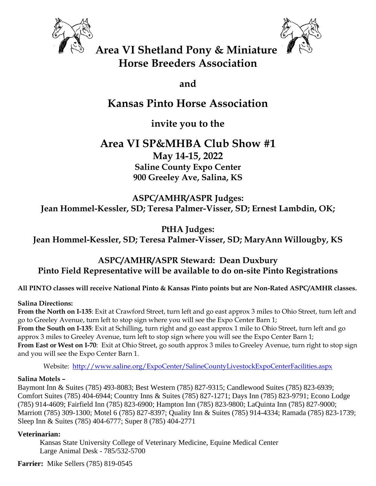



**Area VI Shetland Pony & Miniature Horse Breeders Association**

**and**

# **Kansas Pinto Horse Association**

**invite you to the**

## **Area VI SP&MHBA Club Show #1 May 14-15, 2022 Saline County Expo Center 900 Greeley Ave, Salina, KS**

**ASPC/AMHR/ASPR Judges: Jean Hommel-Kessler, SD; Teresa Palmer-Visser, SD; Ernest Lambdin, OK;** 

**PtHA Judges: Jean Hommel-Kessler, SD; Teresa Palmer-Visser, SD; MaryAnn Willougby, KS**

## **ASPC/AMHR/ASPR Steward: Dean Duxbury Pinto Field Representative will be available to do on-site Pinto Registrations**

**All PINTO classes will receive National Pinto & Kansas Pinto points but are Non-Rated ASPC/AMHR classes.**

## **Salina Directions:**

**From the North on I-135**: Exit at Crawford Street, turn left and go east approx 3 miles to Ohio Street, turn left and go to Greeley Avenue, turn left to stop sign where you will see the Expo Center Barn 1; **From the South on I-135**: Exit at Schilling, turn right and go east approx 1 mile to Ohio Street, turn left and go approx 3 miles to Greeley Avenue, turn left to stop sign where you will see the Expo Center Barn 1;

**From East or West on I-70**: Exit at Ohio Street, go south approx 3 miles to Greeley Avenue, turn right to stop sign and you will see the Expo Center Barn 1.

Website: <http://www.saline.org/ExpoCenter/SalineCountyLivestockExpoCenterFacilities.aspx>

## **Salina Motels –**

Baymont Inn & Suites (785) 493-8083; Best Western (785) 827-9315; Candlewood Suites (785) 823-6939; Comfort Suites (785) 404-6944; Country Inns & Suites (785) 827-1271; Days Inn (785) 823-9791; Econo Lodge (785) 914-4609; Fairfield Inn (785) 823-6900; Hampton Inn (785) 823-9800; LaQuinta Inn (785) 827-9000; Marriott (785) 309-1300; Motel 6 (785) 827-8397; Quality Inn & Suites (785) 914-4334; Ramada (785) 823-1739; Sleep Inn & Suites (785) 404-6777; Super 8 (785) 404-2771

## **Veterinarian:**

Kansas State University College of Veterinary Medicine, Equine Medical Center Large Animal Desk - 785/532-5700

**Farrier:** Mike Sellers (785) 819-0545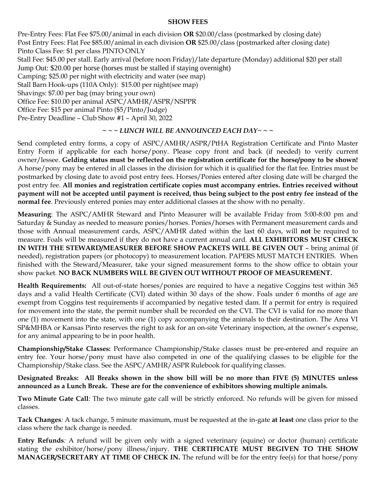## **SHOW FEES**

Pre-Entry Fees: Flat Fee \$75.00/animal in each division **OR** \$20.00/class (postmarked by closing date) Post Entry Fees: Flat Fee \$85.00/animal in each division **OR** \$25.00/class (postmarked after closing date) Pinto Class Fee: \$1 per class PINTO ONLY Stall Fee: \$45.00 per stall. Early arrival (before noon Friday)/late departure (Monday) additional \$20 per stall Jump Out: \$20.00 per horse (horses must be stalled if staying overnight) Camping: \$25.00 per night with electricity and water (see map) Stall Barn Hook-ups (110A Only): \$15.00 per night(see map) Shavings: \$7.00 per bag (may bring your own) Office Fee: \$10.00 per animal ASPC/AMHR/ASPR/NSPPR Office Fee: \$15 per animal Pinto (\$5/Pinto/Judge) Pre-Entry Deadline – Club Show #1 – April 30, 2022

## *~ ~ ~ LUNCH WILL BE ANNOUNCED EACH DAY~ ~ ~*

Send completed entry forms, a copy of ASPC/AMHR/ASPR/PtHA Registration Certificate and Pinto Master Entry Form if applicable for each horse/pony. Please copy front and back (if needed) to verify current owner/lessee. **Gelding status must be reflected on the registration certificate for the horse/pony to be shown!**  A horse/pony may be entered in all classes in the division for which it is qualified for the flat fee. Entries must be postmarked by closing date to avoid post entry fees. Horses/Ponies entered after closing date will be charged the post entry fee. **All monies and registration certificate copies must accompany entries. Entries received without payment will not be accepted until payment is received, thus being subject to the post entry fee instead of the normal fee**. Previously entered ponies may enter additional classes at the show with no penalty.

**Measuring**: The ASPC/AMHR Steward and Pinto Measurer will be available Friday from 5:00-8:00 pm and Saturday & Sunday as needed to measure ponies/horses. Ponies/horses with Permanent measurement cards and those with Annual measurement cards, ASPC/AMHR dated within the last 60 days, will **not** be required to measure. Foals will be measured if they do not have a current annual card. **ALL EXHIBITORS MUST CHECK IN WITH THE STEWARD/MEASURER BEFORE SHOW PACKETS WILL BE GIVEN OUT** – bring animal (if needed), registration papers (or photocopy) to measurement location. PAPERS MUST MATCH ENTRIES. When finished with the Steward/Measurer, take your signed measurement forms to the show office to obtain your show packet. **NO BACK NUMBERS WILL BE GIVEN OUT WITHOUT PROOF OF MEASUREMENT.**

**Health Requirements:** All out-of-state horses/ponies are required to have a negative Coggins test within 365 days and a valid Health Certificate (CVI) dated within 30 days of the show. Foals under 6 months of age are exempt from Coggins test requirements if accompanied by negative tested dam. If a permit for entry is required for movement into the state, the permit number shall be recorded on the CVI. The CVI is valid for no more than one (1) movement into the state, with one (1) copy accompanying the animals to their destination. The Area VI SP&MHBA or Kansas Pinto reserves the right to ask for an on-site Veterinary inspection, at the owner's expense, for any animal appearing to be in poor health.

**Championship/Stake Classes:** Performance Championship/Stake classes must be pre-entered and require an entry fee. Your horse/pony must have also competed in one of the qualifying classes to be eligible for the Championship/Stake class. See the ASPC/AMHR/ASPR Rulebook for qualifying classes.

**Designated Breaks: All Breaks shown in the show bill will be no more than FIVE (5) MINUTES unless announced as a Lunch Break. These are for the convenience of exhibitors showing multiple animals.**

**Two Minute Gate Call***:* The two minute gate call will be strictly enforced. No refunds will be given for missed classes.

**Tack Changes***:* A tack change, 5 minute maximum, must be requested at the in-gate **at least** one class prior to the class where the tack change is needed.

**Entry Refunds***:* A refund will be given only with a signed veterinary (equine) or doctor (human) certificate stating the exhibitor/horse/pony illness/injury. **THE CERTIFICATE MUST BEGIVEN TO THE SHOW MANAGER/SECRETARY AT TIME OF CHECK IN.** The refund will be for the entry fee(s) for that horse/pony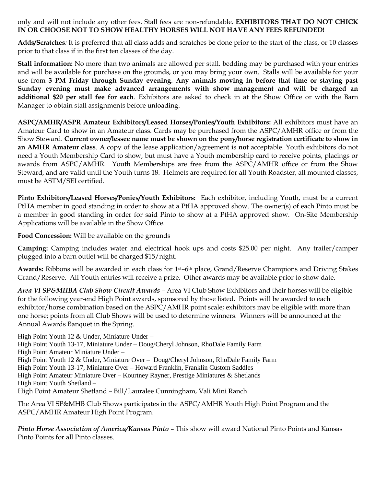only and will not include any other fees. Stall fees are non-refundable. **EXHIBITORS THAT DO NOT CHICK IN OR CHOOSE NOT TO SHOW HEALTHY HORSES WILL NOT HAVE ANY FEES REFUNDED!** 

**Adds/Scratches***:* It is preferred that all class adds and scratches be done prior to the start of the class, or 10 classes prior to that class if in the first ten classes of the day.

**Stall information:** No more than two animals are allowed per stall. bedding may be purchased with your entries and will be available for purchase on the grounds, or you may bring your own. Stalls will be available for your use from **3 PM Friday through Sunday evening**. **Any animals moving in before that time or staying past Sunday evening must make advanced arrangements with show management and will be charged an additional \$20 per stall fee for each**. Exhibitors are asked to check in at the Show Office or with the Barn Manager to obtain stall assignments before unloading.

**ASPC/AMHR/ASPR Amateur Exhibitors/Leased Horses/Ponies/Youth Exhibitors:** All exhibitors must have an Amateur Card to show in an Amateur class. Cards may be purchased from the ASPC/AMHR office or from the Show Steward. **Current owner/lessee name must be shown on the pony/horse registration certificate to show in an AMHR Amateur class**. A copy of the lease application/agreement is **not** acceptable. Youth exhibitors do not need a Youth Membership Card to show, but must have a Youth membership card to receive points, placings or awards from ASPC/AMHR. Youth Memberships are free from the ASPC/AMHR office or from the Show Steward, and are valid until the Youth turns 18. Helmets are required for all Youth Roadster, all mounted classes, must be ASTM/SEI certified.

**Pinto Exhibitors/Leased Horses/Ponies/Youth Exhibitors:** Each exhibitor, including Youth, must be a current PtHA member in good standing in order to show at a PtHA approved show. The owner(s) of each Pinto must be a member in good standing in order for said Pinto to show at a PtHA approved show. On-Site Membership Applications will be available in the Show Office.

**Food Concession:** Will be available on the grounds

**Camping:** Camping includes water and electrical hook ups and costs \$25.00 per night. Any trailer/camper plugged into a barn outlet will be charged \$15/night.

**Awards:** Ribbons will be awarded in each class for 1st–6th place, Grand/Reserve Champions and Driving Stakes Grand/Reserve. All Youth entries will receive a prize. Other awards may be available prior to show date.

*Area VI SP&MHBA Club Show Circuit Awards* – Area VI Club Show Exhibitors and their horses will be eligible for the following year-end High Point awards, sponsored by those listed. Points will be awarded to each exhibitor/horse combination based on the ASPC/AMHR point scale; exhibitors may be eligible with more than one horse; points from all Club Shows will be used to determine winners. Winners will be announced at the Annual Awards Banquet in the Spring.

High Point Youth 12 & Under, Miniature Under – High Point Youth 13-17, Miniature Under – Doug/Cheryl Johnson, RhoDale Family Farm High Point Amateur Miniature Under – High Point Youth 12 & Under, Miniature Over – Doug/Cheryl Johnson, RhoDale Family Farm High Point Youth 13-17, Miniature Over – Howard Franklin, Franklin Custom Saddles High Point Amateur Miniature Over – Kourtney Rayner, Prestige Miniatures & Shetlands High Point Youth Shetland – High Point Amateur Shetland – Bill/Lauralee Cunningham, Vali Mini Ranch

The Area VI SP&MHB Club Shows participates in the ASPC/AMHR Youth High Point Program and the ASPC/AMHR Amateur High Point Program.

*Pinto Horse Association of America/Kansas Pinto* – This show will award National Pinto Points and Kansas Pinto Points for all Pinto classes.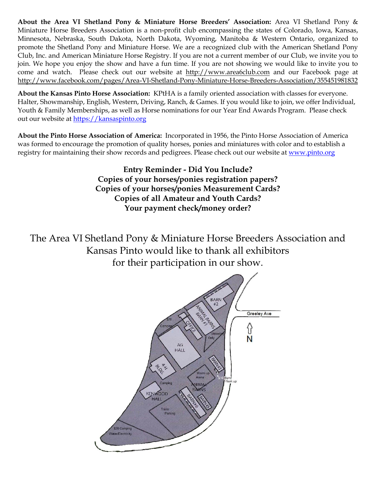**About the Area VI Shetland Pony & Miniature Horse Breeders' Association:** Area VI Shetland Pony & Miniature Horse Breeders Association is a non-profit club encompassing the states of Colorado, Iowa, Kansas, Minnesota, Nebraska, South Dakota, North Dakota, Wyoming, Manitoba & Western Ontario, organized to promote the Shetland Pony and Miniature Horse. We are a recognized club with the American Shetland Pony Club, Inc. and American Miniature Horse Registry. If you are not a current member of our Club, we invite you to join. We hope you enjoy the show and have a fun time. If you are not showing we would like to invite you to come and watch. Please check out our website at [http://www.area6club.com](http://www.area6club.com/) and our Facebook page at <http://www.facebook.com/pages/Area-VI-Shetland-Pony-Miniature-Horse-Breeders-Association/355451981832>

**About the Kansas Pinto Horse Association:** KPtHA is a family oriented association with classes for everyone. Halter, Showmanship, English, Western, Driving, Ranch, & Games. If you would like to join, we offer Individual, Youth & Family Memberships, as well as Horse nominations for our Year End Awards Program. Please check out our website at [https://kansaspinto.org](https://kansaspinto.org/)

**About the Pinto Horse Association of America:** Incorporated in 1956, the Pinto Horse Association of America was formed to encourage the promotion of quality horses, ponies and miniatures with color and to establish a registry for maintaining their show records and pedigrees. Please check out our website at [www.pinto.org](http://www.pinto.org/)

> **Entry Reminder - Did You Include? Copies of your horses/ponies registration papers? Copies of your horses/ponies Measurement Cards? Copies of all Amateur and Youth Cards? Your payment check/money order?**

The Area VI Shetland Pony & Miniature Horse Breeders Association and Kansas Pinto would like to thank all exhibitors for their participation in our show.

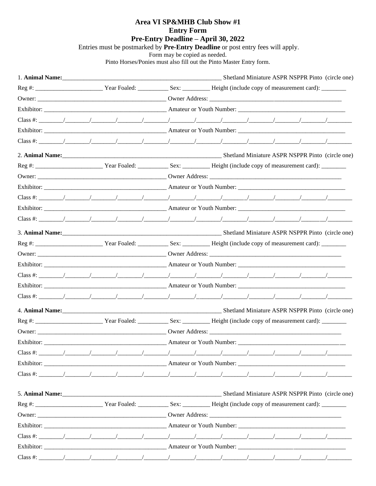## Area VI SP&MHB Club Show #1

**Entry Form** 

## Pre-Entry Deadline - April 30, 2022

Entries must be postmarked by Pre-Entry Deadline or post entry fees will apply.

Form may be copied as needed.<br>Pinto Horses/Ponies must also fill out the Pinto Master Entry form.

| Exhibitor: 2008 Contract Contract Counter American American American Couth Number: 2008 Counter Counter Counter Counter Counter Counter Counter Counter Counter Counter Counter Counter Counter Counter Counter Counter Counte |  |  |  |  |  |  |  |  |  |  |                                                  |
|--------------------------------------------------------------------------------------------------------------------------------------------------------------------------------------------------------------------------------|--|--|--|--|--|--|--|--|--|--|--------------------------------------------------|
|                                                                                                                                                                                                                                |  |  |  |  |  |  |  |  |  |  |                                                  |
|                                                                                                                                                                                                                                |  |  |  |  |  |  |  |  |  |  |                                                  |
|                                                                                                                                                                                                                                |  |  |  |  |  |  |  |  |  |  |                                                  |
|                                                                                                                                                                                                                                |  |  |  |  |  |  |  |  |  |  |                                                  |
|                                                                                                                                                                                                                                |  |  |  |  |  |  |  |  |  |  |                                                  |
|                                                                                                                                                                                                                                |  |  |  |  |  |  |  |  |  |  |                                                  |
|                                                                                                                                                                                                                                |  |  |  |  |  |  |  |  |  |  |                                                  |
|                                                                                                                                                                                                                                |  |  |  |  |  |  |  |  |  |  |                                                  |
|                                                                                                                                                                                                                                |  |  |  |  |  |  |  |  |  |  |                                                  |
|                                                                                                                                                                                                                                |  |  |  |  |  |  |  |  |  |  |                                                  |
|                                                                                                                                                                                                                                |  |  |  |  |  |  |  |  |  |  |                                                  |
|                                                                                                                                                                                                                                |  |  |  |  |  |  |  |  |  |  |                                                  |
|                                                                                                                                                                                                                                |  |  |  |  |  |  |  |  |  |  |                                                  |
|                                                                                                                                                                                                                                |  |  |  |  |  |  |  |  |  |  |                                                  |
|                                                                                                                                                                                                                                |  |  |  |  |  |  |  |  |  |  |                                                  |
|                                                                                                                                                                                                                                |  |  |  |  |  |  |  |  |  |  |                                                  |
| Class #:                                                                                                                                                                                                                       |  |  |  |  |  |  |  |  |  |  |                                                  |
|                                                                                                                                                                                                                                |  |  |  |  |  |  |  |  |  |  | Shetland Miniature ASPR NSPPR Pinto (circle one) |
|                                                                                                                                                                                                                                |  |  |  |  |  |  |  |  |  |  |                                                  |
|                                                                                                                                                                                                                                |  |  |  |  |  |  |  |  |  |  |                                                  |
|                                                                                                                                                                                                                                |  |  |  |  |  |  |  |  |  |  |                                                  |
|                                                                                                                                                                                                                                |  |  |  |  |  |  |  |  |  |  |                                                  |
|                                                                                                                                                                                                                                |  |  |  |  |  |  |  |  |  |  |                                                  |
|                                                                                                                                                                                                                                |  |  |  |  |  |  |  |  |  |  |                                                  |
|                                                                                                                                                                                                                                |  |  |  |  |  |  |  |  |  |  |                                                  |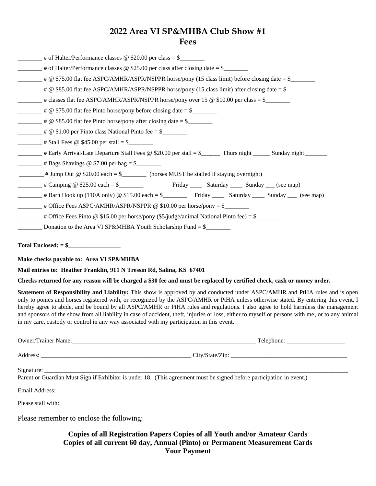## **2022 Area VI SP&MHBA Club Show #1 Fees**

| $\frac{1}{1}$ # of Halter/Performance classes @ \$20.00 per class = \$                                                                                                                                                                                                                                                                                                                                                                                                                                                                                                                                                                                   |
|----------------------------------------------------------------------------------------------------------------------------------------------------------------------------------------------------------------------------------------------------------------------------------------------------------------------------------------------------------------------------------------------------------------------------------------------------------------------------------------------------------------------------------------------------------------------------------------------------------------------------------------------------------|
| $\frac{1}{1}$ # of Halter/Performance classes @ \$25.00 per class after closing date = \$                                                                                                                                                                                                                                                                                                                                                                                                                                                                                                                                                                |
| $\frac{1}{2}$ # @ \$75.00 flat fee ASPC/AMHR/ASPR/NSPPR horse/pony (15 class limit) before closing date = \$                                                                                                                                                                                                                                                                                                                                                                                                                                                                                                                                             |
| $\mu$ $\in$ \$85.00 flat fee ASPC/AMHR/ASPR/NSPPR horse/pony (15 class limit) after closing date = \$______                                                                                                                                                                                                                                                                                                                                                                                                                                                                                                                                              |
|                                                                                                                                                                                                                                                                                                                                                                                                                                                                                                                                                                                                                                                          |
|                                                                                                                                                                                                                                                                                                                                                                                                                                                                                                                                                                                                                                                          |
|                                                                                                                                                                                                                                                                                                                                                                                                                                                                                                                                                                                                                                                          |
|                                                                                                                                                                                                                                                                                                                                                                                                                                                                                                                                                                                                                                                          |
| $\frac{1}{2}$ # Stall Fees @ \$45.00 per stall = \$                                                                                                                                                                                                                                                                                                                                                                                                                                                                                                                                                                                                      |
| Early Arrival/Late Departure Stall Fees @ \$20.00 per stall = \$_______ Thurs night ______ Sunday night                                                                                                                                                                                                                                                                                                                                                                                                                                                                                                                                                  |
| $\frac{1}{2}$ # Bags Shavings @ \$7.00 per bag = \$                                                                                                                                                                                                                                                                                                                                                                                                                                                                                                                                                                                                      |
|                                                                                                                                                                                                                                                                                                                                                                                                                                                                                                                                                                                                                                                          |
| Example & \$25.00 each = \$                                                                                                                                                                                                                                                                                                                                                                                                                                                                                                                                                                                                                              |
|                                                                                                                                                                                                                                                                                                                                                                                                                                                                                                                                                                                                                                                          |
| $\frac{1}{1}$ # Office Fees ASPC/AMHR/ASPR/NSPPR @ \$10.00 per horse/pony = \$                                                                                                                                                                                                                                                                                                                                                                                                                                                                                                                                                                           |
| $\frac{1}{2}$ # Office Fees Pinto @ \$15.00 per horse/pony (\$5/judge/animal National Pinto fee) = \$                                                                                                                                                                                                                                                                                                                                                                                                                                                                                                                                                    |
|                                                                                                                                                                                                                                                                                                                                                                                                                                                                                                                                                                                                                                                          |
|                                                                                                                                                                                                                                                                                                                                                                                                                                                                                                                                                                                                                                                          |
| Make checks payable to: Area VI SP&MHBA                                                                                                                                                                                                                                                                                                                                                                                                                                                                                                                                                                                                                  |
| Mail entries to: Heather Franklin, 911 N Tressin Rd, Salina, KS 67401                                                                                                                                                                                                                                                                                                                                                                                                                                                                                                                                                                                    |
| Checks returned for any reason will be charged a \$30 fee and must be replaced by certified check, cash or money order.                                                                                                                                                                                                                                                                                                                                                                                                                                                                                                                                  |
| Statement of Responsibility and Liability: This show is approved by and conducted under ASPC/AMHR and PtHA rules and is open<br>only to ponies and horses registered with, or recognized by the ASPC/AMHR or PtHA unless otherwise stated. By entering this event, I<br>hereby agree to abide, and be bound by all ASPC/AMHR or PtHA rules and regulations. I also agree to hold harmless the management<br>and sponsors of the show from all liability in case of accident, theft, injuries or loss, either to myself or persons with me, or to any animal<br>in my care, custody or control in any way associated with my participation in this event. |

| Parent or Guardian Must Sign if Exhibitor is under 18. (This agreement must be signed before participation in event.) |  |  |  |  |  |
|-----------------------------------------------------------------------------------------------------------------------|--|--|--|--|--|
|                                                                                                                       |  |  |  |  |  |
|                                                                                                                       |  |  |  |  |  |
| Please remember to enclose the following:                                                                             |  |  |  |  |  |

**Copies of all Registration Papers Copies of all Youth and/or Amateur Cards Copies of all current 60 day, Annual (Pinto) or Permanent Measurement Cards Your Payment**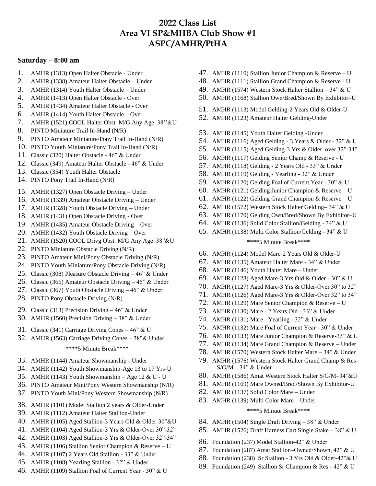## **2022 Class List Area VI SP&MHBA Club Show #1 ASPC/AMHR/PtHA**

#### **Saturday – 8:00 am**

- 1. AMHR (1313) Open Halter Obstacle Under
- 2. AMHR (1338) Amateur Halter Obstacle Under
- 3. AMHR (1314) Youth Halter Obstacle Under
- 4. AMHR (1413) Open Halter Obstacle Over
- 5. AMHR (1434) Amateur Halter Obstacle Over
- 6. AMHR (1414) Youth Halter Obstacle Over
- 7. AMHR (1521) COOL Halter Obst–M/G Any Age–38''&U
- 8. PINTO Miniature Trail In-Hand (N/R)
- 9. PINTO Amateur Miniature/Pony Trail In-Hand (N/R)
- 10. PINTO Youth Miniature/Pony Trail In-Hand (N/R)
- 11. Classic (320) Halter Obstacle 46" & Under
- 12. Classic (349) Amateur Halter Obstacle 46" & Under
- 13. Classic (354) Youth Halter Obstacle
- 14. PINTO Pony Trail In-Hand (N/R)
- 15. AMHR (1327) Open Obstacle Driving Under
- 16. AMHR (1339) Amateur Obstacle Driving Under
- 17. AMHR (1328) Youth Obstacle Driving Under
- 18. AMHR (1431) Open Obstacle Driving Over
- 19. AMHR (1435) Amateur Obstacle Driving Over
- 20. AMHR (1432) Youth Obstacle Driving Over
- 21. AMHR (1520) COOL Drivg Obst–M/G Any Age–38"&U
- 22. PINTO Miniature Obstacle Driving (N/R)
- 23. PINTO Amateur Mini/Pony Obstacle Driving (N/R)
- 24. PINTO Youth Miniature/Pony Obstacle Driving (N/R)
- 25. Classic (308) Pleasure Obstacle Driving 46" & Under
- 26. Classic (366) Amateur Obstacle Driving 46" & Under
- 27. Classic (367) Youth Obstacle Driving 46" & Under
- 28. PINTO Pony Obstacle Driving (N/R)
- 29. Classic (313) Precision Driving 46" & Under
- 30. AMHR (1560) Precision Driving 38" & Under
- 31. Classic (341) Carriage Driving Cones 46" & U
- 32. AMHR (1563) Carriage Driving Cones 38"& Under

#### \*\*\*\*5 Minute Break\*\*\*\*

- 33. AMHR (1144) Amateur Showmanship Under
- 34. AMHR (1142) Youth Showmanship-Age 13 to 17 Yrs-U
- 35. AMHR (1143) Youth Showmanship Age 12 & U U
- 36. PINTO Amateur Mini/Pony Western Showmanship (N/R)
- 37. PINTO Youth Mini/Pony Western Showmanship (N/R)
- 38. AMHR (1101) Model Stallion 2 years & Older-Under
- 39. AMHR (1112) Amateur Halter Stallion-Under
- 40. AMHR (1105) Aged Stallion-3 Years Old & Older-30"&U
- 41. AMHR (1104) Aged Stallion-3 Yrs & Older-Over 30"-32"
- 42. AMHR (1103) Aged Stallion-3 Yrs & Older-Over 32"-34"
- 43. AMHR (1106) Stallion Senior Champion & Reserve U
- 44. AMHR (1107) 2 Years Old Stallion 33" & Under
- 45. AMHR (1108) Yearling Stallion 32" & Under
- 46. AMHR (1109) Stallion Foal of Current Year 30" & U
- 47. AMHR (1110) Stallion Junior Champion & Reserve U
- 48. AMHR (1111) Stallion Grand Champion & Reserve U
- 49. AMHR (1574) Western Stock Halter Stallion 34" & U
- 50. AMHR (1168) Stallion Own/Bred/Shown By Exhibitor–U
- 51. AMHR (1113) Model Gelding-2 Years Old & Older-U
- 52. AMHR (1123) Amateur Halter Gelding-Under
- 53. AMHR (1145) Youth Halter Gelding -Under
- 54. AMHR (1116) Aged Gelding 3 Years & Older 32" & U
- 55. AMHR (1115) Aged Gelding-3 Yrs & Older–over 32"-34"
- 56. AMHR (1117) Gelding Senior Champ & Reserve U
- 57. AMHR (1118) Gelding 2 Years Old 33" & Under
- 58. AMHR (1119) Gelding Yearling 32" & Under
- 59. AMHR (1120) Gelding Foal of Current Year 30" & U
- 60. AMHR (1121) Gelding Junior Champion & Reserve U
- 61. AMHR (1122) Gelding Grand Champion & Reserve U
- 62. AMHR (1572) Western Stock Halter Gelding– 34" & U
- 63. AMHR (1170) Gelding Own/Bred/Shown By Exhibitor–U
- 64. AMHR (1136) Solid Color Stallion/Gelding 34" & U
- 65. AMHR (1138) Multi Color Stallion/Gelding 34" & U

#### \*\*\*\*5 Minute Break\*\*\*\*

- 66. AMHR (1124) Model Mare-2 Years Old & Older-U
- 67. AMHR (1135) Amateur Halter Mare 34" & Under
- 68. AMHR (1146) Youth Halter Mare Under
- 69. AMHR (1128) Aged Mare-3 Yrs Old & Older 30" & U
- 70. AMHR (1127) Aged Mare-3 Yrs & Older-Over 30" to 32"
- 71. AMHR (1126) Aged Mare-3 Yrs & Older-Over 32" to 34"
- 72. AMHR (1129) Mare Senior Champion & Reserve U
- 73. AMHR (1130) Mare 2 Years Old 33" & Under
- 74. AMHR (1131) Mare Yearling 32" & Under
- 75. AMHR (1132) Mare Foal of Current Year 30" & Under
- 76. AMHR (1133) Mare Junior Champion & Reserve-33" & U
- 77. AMHR (1134) Mare Grand Champion & Reserve Under
- 78. AMHR (1570) Western Stock Halter Mare 34" & Under
- 79. AMHR (1576) Western Stock Halter Grand Champ & Res – S/G/M – 34" & Under
- 80. AMHR (1586) Amat Western Stock Halter S/G/M–34"&U
- 81. AMHR (1169) Mare Owned/Bred/Shown By Exhibitor-U
- 82. AMHR (1137) Solid Color Mare Under
- 83. AMHR (1139) Multi Color Mare Under

#### \*\*\*\*5 Minute Break\*\*\*\*

- 84. AMHR (1504) Single Draft Driving 38" & Under
- 85. AMHR (1526) Draft Harness Cart Single Stake 38" & U
- 86. Foundation (237) Model Stallion-42" & Under
- 87. Foundation (287) Amat Stallion–Owned/Shown, 42" & U
- 88. Foundation (238) Sr Stallion 3 Yrs Old & Older-42"& U
- 89. Foundation (249) Stallion Sr Champion & Res 42" & U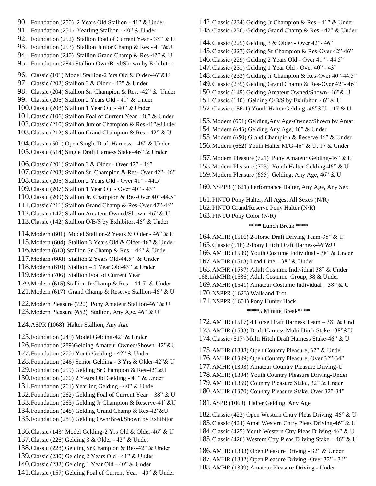- 90. Foundation (250) 2 Years Old Stallion 41" & Under
- 91. Foundation (251) Yearling Stallion 40" & Under
- 92. Foundation (252) Stallion Foal of Current Year 38" & U
- 93. Foundation (253) Stallion Junior Champ & Res 41"&U
- 94. Foundation (240) Stallion Grand Champ & Res-42" & U
- 95. Foundation (284) Stallion Own/Bred/Shown by Exhibitor
- 96. Classic (101) Model Stallion-2 Yrs Old & Older-46"&U
- 97. Classic (202) Stallion 3 & Older 42" & Under
- 98. Classic (204) Stallion Sr. Champion & Res. -42" & Under
- 99. Classic (206) Stallion 2 Years Old 41" & Under
- 100.Classic (208) Stallion 1 Year Old 40" & Under
- 101.Classic (106) Stallion Foal of Current Year –40" & Under
- 102.Classic (210) Stallion Junior Champion & Res-41"&Under
- 103.Classic (212) Stallion Grand Champion & Res 42" & U

104.Classic (501) Open Single Draft Harness – 46" & Under 105.Classic (514) Single Draft Harness Stake–46" & Under

106.Classic (201) Stallion 3 & Older - Over 42" - 46"

- 107.Classic (203) Stallion Sr. Champion & Res- Over 42"- 46"
- 108.Classic (205) Stallion 2 Years Old Over 41" 44.5"
- 109.Classic (207) Stallion 1 Year Old Over 40" 43"
- 110.Classic (209) Stallion Jr. Champion & Res-Over 40"-44.5"
- 111.Classic (211) Stallion Grand Champ & Res-Over 42"-46"
- 112.Classic (147) Stallion Amateur Owned/Shown -46" & U
- 113.Classic (142) Stallion O/B/S by Exhibitor, 46" & Under
- 114.Modern (601) Model Stallion-2 Years & Older 46" & U
- 115.Modern (604) Stallion 3 Years Old & Older-46" & Under
- 116.Modern (613) Stallion Sr Champ & Res 46" & Under
- 117.Modern (608) Stallion 2 Years Old-44.5 " & Under
- 118.Modern (610) Stallion 1 Year Old-43" & Under
- 119.Modern (706) Stallion Foal of Current Year
- 120.Modern (615) Stallion Jr Champ & Res 44.5" & Under
- 121.Modern (617) Grand Champ & Reserve Stallion-46" & U
- 122.Modern Pleasure (720) Pony Amateur Stallion-46" & U 123.Modern Pleasure (652) Stallion, Any Age, 46" & U
- 124.ASPR (1068) Halter Stallion, Any Age

125.Foundation (245) Model Gelding-42" & Under 126.Foundation (289)Gelding Amateur Owned/Shown–42"&U 127.Foundation (270) Youth Gelding - 42" & Under 128.Foundation (246) Senior Gelding - 3 Yrs & Older-42"& U 129.Foundation (259) Gelding Sr Champion & Res-42"&U 130.Foundation (260) 2 Years Old Gelding - 41" & Under 131.Foundation (261) Yearling Gelding - 40" & Under 132.Foundation (262) Gelding Foal of Current Year – 38" & U 133.Foundation (263) Gelding Jr Champion & Reserve-41"&U 134.Foundation (248) Gelding Grand Champ & Res-42"&U 135.Foundation (285) Gelding Own/Bred/Shown by Exhibitor 136.Classic (143) Model Gelding-2 Yrs Old & Older-46" & U 137.Classic (226) Gelding 3 & Older - 42" & Under 138.Classic (228) Gelding Sr Champion & Res-42" & Under 139.Classic (230) Gelding 2 Years Old - 41" & Under 140.Classic (232) Gelding 1 Year Old - 40" & Under 141.Classic (157) Gelding Foal of Current Year –40" & Under

- 142.Classic (234) Gelding Jr Champion & Res 41" & Under 143.Classic (236) Gelding Grand Champ & Res - 42" & Under
- 144.Classic (225) Gelding 3 & Older Over 42"- 46"
- 145.Classic (227) Gelding Sr Champion & Res-Over 42"-46"
- 146.Classic (229) Gelding 2 Years Old Over 41" 44.5"
- 147.Classic (231) Gelding 1 Year Old Over 40" 43"
- 148.Classic (233) Gelding Jr Champion & Res-Over 40"-44.5"
- 149.Classic (235) Gelding Grand Champ & Res-Over 42"- 46"
- 150.Classic (149) Gelding Amateur Owned/Shown- 46"& U
- 151.Classic (140) Gelding O/B/S by Exhibitor, 46" & U
- 152. Classic (156-1) Youth Halter Gelding -46" & U 17 & U

153.Modern (651) Gelding,Any Age-Owned/Shown by Amat 154.Modern (643) Gelding Any Age, 46" & Under 155.Modern (650) Grand Champion & Reserve 46" & Under 156.Modern (662) Youth Halter M/G-46" & U, 17 & Under

157.Modern Pleasure (721) Pony Amateur Gelding-46" & U 158.Modern Pleasure (723) Youth Halter Gelding-46" & U 159.Modern Pleasure (655) Gelding, Any Age, 46" & U

160.NSPPR (1621) Performance Halter, Any Age, Any Sex

161.PINTO Pony Halter, All Ages, All Sexes (N/R) 162.PINTO Grand/Reserve Pony Halter (N/R)

163.PINTO Pony Color (N/R)

#### \*\*\*\* Lunch Break \*\*\*\*

164.AMHR (1516) 2-Horse Draft Driving Team-38" & U 165.Classic (516) 2-Pony Hitch Draft Harness-46"&U 166.AMHR (1539) Youth Costume Individual - 38" & Under 167.AMHR (1513) Lead Line – 38" & Under 168.AMHR (1537) Adult Costume Individual 38" & Under 168.1AMHR (1536) Adult Costume, Group, 38 & Under 169.AMHR (1541) Amateur Costume Individual – 38" & U 170.NSPPR (1623) Walk and Trot 171.NSPPR (1601) Pony Hunter Hack

#### \*\*\*\*5 Minute Break\*\*\*\*

172.AMHR (1517) 4 Horse Draft Harness Team – 38" & Und 173.AMHR (1533) Draft Harness Multi Hitch Stake– 38"&U 174.Classic (517) Multi Hitch Draft Harness Stake-46" & U

175.AMHR (1388) Open Country Pleasure, 32" & Under 176.AMHR (1389) Open Country Pleasure, Over 32"-34" 177.AMHR (1303) Amateur Country Pleasure Driving-U 178.AMHR (1304) Youth Country Pleasure Driving-Under 179.AMHR (1369) Country Pleasure Stake, 32" & Under 180.AMHR (1370) Country Pleasure Stake, Over 32"-34"

181.ASPR (1069) Halter Gelding, Any Age

182.Classic (423) Open Western Cntry Pleas Driving–46" & U 183.Classic (424) Amat Western Cntry Pleas Driving-46" & U 184.Classic (425) Youth Western Ctry Pleas Driving-46" & U 185.Classic (426) Western Ctry Pleas Driving Stake – 46" & U

186.AMHR (1333) Open Pleasure Driving - 32" & Under 187.AMHR (1332) Open Pleasure Driving -Over 32" - 34" 188.AMHR (1309) Amateur Pleasure Driving - Under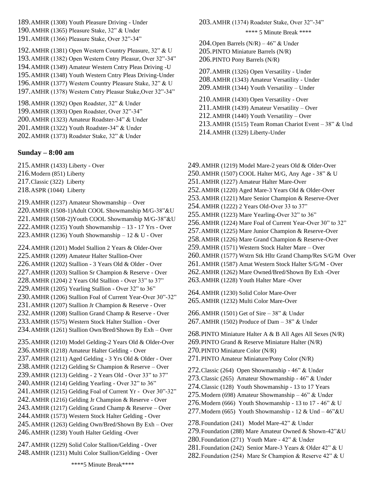189.AMHR (1308) Youth Pleasure Driving - Under

190.AMHR (1365) Pleasure Stake, 32" & Under

191.AMHR (1366) Pleasure Stake, Over 32"-34"

192.AMHR (1381) Open Western Country Pleasure, 32" & U

193.AMHR (1382) Open Western Cntry Pleasur, Over 32"-34"

194.AMHR (1349) Amateur Western Cntry Pleas Driving -U

195.AMHR (1348) Youth Western Cntry Pleas Driving-Under

196.AMHR (1377) Western Country Pleasure Stake, 32" & U

197.AMHR (1378) Western Cntry Pleasur Stake,Over 32"-34"

198.AMHR (1392) Open Roadster, 32" & Under 199.AMHR (1393) Open Roadster, Over 32"-34"

200.AMHR (1323) Amateur Roadster-34" & Under

201.AMHR (1322) Youth Roadster-34" & Under

202.AMHR (1373) Roadster Stake, 32" & Under

## **Sunday – 8:00 am**

215.AMHR (1433) Liberty - Over

216.Modern (851) Liberty

217.Classic (322) Liberty

218.ASPR (1044) Liberty

219.AMHR (1237) Amateur Showmanship – Over 220.AMHR (1508-1)Adult COOL Showmanship M/G-38"&U 221.AMHR (1508-2)Youth COOL Showmanship M/G-38"&U 222.AMHR (1235) Youth Showmanship  $-13 - 17$  Yrs - Over 223.AMHR (1236) Youth Showmanship – 12 & U - Over

224.AMHR (1201) Model Stallion 2 Years & Older-Over 225.AMHR (1209) Amateur Halter Stallion-Over 226.AMHR (1202) Stallion - 3 Years Old & Older - Over 227.AMHR (1203) Stallion Sr Champion & Reserve - Over 228.AMHR (1204) 2 Years Old Stallion - Over 33" to 37" 229.AMHR (1205) Yearling Stallion - Over 32" to 36" 230.AMHR (1206) Stallion Foal of Current Year-Over 30"-32" 231.AMHR (1207) Stallion Jr Champion & Reserve - Over 232.AMHR (1208) Stallion Grand Champ & Reserve - Over 233.AMHR (1575) Western Stock Halter Stallion - Over 234.AMHR (1261) Stallion Own/Bred/Shown By Exh – Over

235.AMHR (1210) Model Gelding-2 Years Old & Older-Over 236.AMHR (1218) Amateur Halter Gelding - Over 237.AMHR (1211) Aged Gelding - 3 Yrs Old & Older - Over 238.AMHR (1212) Gelding Sr Champion & Reserve – Over 239.AMHR (1213) Gelding - 2 Years Old - Over 33" to 37" 240.AMHR (1214) Gelding Yearling - Over 32" to 36" 241.AMHR (1215) Gelding Foal of Current Yr - Over 30"-32" 242.AMHR (1216) Gelding Jr Champion & Reserve - Over 243.AMHR (1217) Gelding Grand Champ & Reserve – Over 244.AMHR (1573) Western Stock Halter Gelding - Over 245.AMHR (1263) Gelding Own/Bred/Shown By Exh – Over 246.AMHR (1238) Youth Halter Gelding -Over

247.AMHR (1229) Solid Color Stallion/Gelding - Over 248.AMHR (1231) Multi Color Stallion/Gelding - Over 203.AMHR (1374) Roadster Stake, Over 32"-34"

#### \*\*\*\* 5 Minute Break \*\*\*\*

204. Open Barrels  $(N/R) - 46$ " & Under 205.PINTO Miniature Barrels (N/R) 206.PINTO Pony Barrels (N/R)

207.AMHR (1326) Open Versatility - Under 208.AMHR (1343) Amateur Versatility - Under 209.AMHR (1344) Youth Versatility – Under

210.AMHR (1430) Open Versatility - Over

211.AMHR (1439) Amateur Versatility – Over

212.AMHR (1440) Youth Versatility – Over

213.AMHR (1515) Team Roman Chariot Event – 38" & Und

214.AMHR (1329) Liberty-Under

249.AMHR (1219) Model Mare-2 years Old & Older-Over 250.AMHR (1507) COOL Halter M/G, Any Age - 38" & U 251.AMHR (1227) Amateur Halter Mare-Over 252.AMHR (1220) Aged Mare-3 Years Old & Older-Over 253.AMHR (1221) Mare Senior Champion & Reserve-Over 254.AMHR (1222) 2 Years Old-Over 33 to 37" 255.AMHR (1223) Mare Yearling-Over 32" to 36" 256.AMHR (1224) Mare Foal of Current Year-Over 30" to 32" 257.AMHR (1225) Mare Junior Champion & Reserve-Over 258.AMHR (1226) Mare Grand Champion & Reserve-Over 259.AMHR (1571) Western Stock Halter Mare – Over 260.AMHR (1577) Wstrn Stk Hltr Grand Champ/Res S/G/M Over 261.AMHR (1587) Amat Western Stock Halter S/G/M - Over 262.AMHR (1262) Mare Owned/Bred/Shown By Exh -Over 263.AMHR (1228) Youth Halter Mare -Over 264.AMHR (1230) Solid Color Mare-Over 265.AMHR (1232) Multi Color Mare-Over 266.AMHR (1501) Get of Sire – 38" & Under 267.AMHR (1502) Produce of Dam – 38" & Under 268.PINTO Miniature Halter A & B All Ages All Sexes (N/R) 269.PINTO Grand & Reserve Miniature Halter (N/R) 270.PINTO Miniature Color (N/R) 271.PINTO Amateur Miniature/Pony Color (N/R) 272.Classic (264) Open Showmanship - 46" & Under 273.Classic (265) Amateur Showmanship - 46" & Under 274.Classic (128) Youth Showmanship - 13 to 17 Years 275.Modern (698) Amateur Showmanship – 46" & Under 276. Modern (666) Youth Showmanship - 13 to 17 - 46" & U 277. Modern (665) Youth Showmanship - 12 & Und  $-46$ "&U 278.Foundation (241) Model Mare-42" & Under 279.Foundation (288) Mare Amateur Owned & Shown-42"&U 280.Foundation (271) Youth Mare - 42" & Under 281.Foundation (242) Senior Mare-3 Years & Older 42" & U 282. Foundation (254) Mare Sr Champion & Reserve 42" & U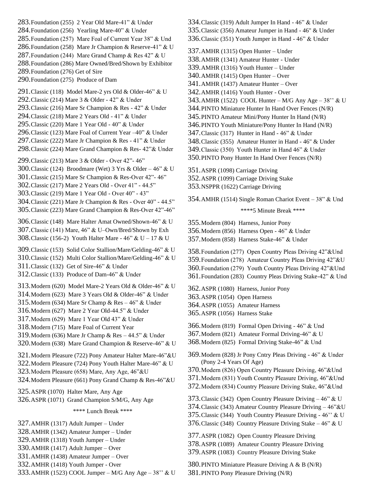283.Foundation (255) 2 Year Old Mare-41" & Under 284.Foundation (256) Yearling Mare-40" & Under 285.Foundation (257) Mare Foal of Current Year 38" & Und 286.Foundation (258) Mare Jr Champion & Reserve-41" & U 287. Foundation (244) Mare Grand Champ & Res 42" & U 288.Foundation (286) Mare Owned/Bred/Shown by Exhibitor 289.Foundation (276) Get of Sire 290.Foundation (275) Produce of Dam 291.Classic (118) Model Mare-2 yrs Old & Older-46" & U 292.Classic (214) Mare 3 & Older - 42" & Under 293.Classic (216) Mare Sr Champion & Res - 42" & Under 294.Classic (218) Mare 2 Years Old - 41" & Under 295.Classic (220) Mare 1 Year Old - 40" & Under 296.Classic (123) Mare Foal of Current Year –40" & Under 297.Classic (222) Mare Jr Champion & Res - 41" & Under 298.Classic (224) Mare Grand Champion & Res- 42"& Under 299.Classic (213) Mare 3 & Older - Over 42"- 46" 300.Classic (124) Broodmare (Wet) 3 Yrs & Older – 46" & U 301.Classic (215) Mare Sr Champion & Res-Over 42"- 46" 302.Classic (217) Mare 2 Years Old - Over 41" - 44.5" 303.Classic (219) Mare 1 Year Old - Over 40" - 43" 304.Classic (221) Mare Jr Champion & Res - Over 40" - 44.5" 305.Classic (223) Mare Grand Champion & Res-Over 42"-46" 306.Classic (148) Mare Halter Amat Owned/Shown-46" & U 307.Classic (141) Mare, 46" & U–Own/Bred/Shown by Exh 308. Classic (156-2) Youth Halter Mare - 46" & U – 17 & U 309.Classic (153) Solid Color Stallion/Mare/Gelding-46" & U 310.Classic (152) Multi Color Stallion/Mare/Gelding-46" & U 311.Classic (132) Get of Sire-46" & Under 312.Classic (133) Produce of Dam-46" & Under 313.Modern (620) Model Mare-2 Years Old & Older-46" & U 314.Modern (623) Mare 3 Years Old & Older-46" & Under 315. Modern (634) Mare Sr Champ & Res  $-46$ " & Under 316.Modern (627) Mare 2 Year Old-44.5" & Under 317.Modern (629) Mare 1 Year Old 43" & Under 318.Modern (715) Mare Foal of Current Year 319.Modern (636) Mare Jr Champ & Res – 44.5" & Under 320.Modern (638) Mare Grand Champion & Reserve-46" & U 321.Modern Pleasure (722) Pony Amateur Halter Mare-46"&U 322.Modern Pleasure (724) Pony Youth Halter Mare-46" & U 323.Modern Pleasure (658) Mare, Any Age, 46"&U 324.Modern Pleasure (661) Pony Grand Champ & Res-46"&U 325.ASPR (1070) Halter Mare, Any Age 326.ASPR (1071) Grand Champion S/M/G, Any Age \*\*\*\* Lunch Break \*\*\*\* 327.AMHR (1317) Adult Jumper – Under 328.AMHR (1342) Amateur Jumper – Under 329.AMHR (1318) Youth Jumper – Under 330.AMHR (1417) Adult Jumper – Over 331.AMHR (1438) Amateur Jumper – Over 332.AMHR (1418) Youth Jumper - Over

333.AMHR (1523) COOL Jumper – M/G Any Age – 38'' & U

- 334.Classic (319) Adult Jumper In Hand 46" & Under
- 335.Classic (356) Amateur Jumper in Hand 46" & Under
- 336.Classic (351) Youth Jumper in Hand 46" & Under

337.AMHR (1315) Open Hunter – Under

- 338.AMHR (1341) Amateur Hunter Under
- 339.AMHR (1316) Youth Hunter Under
- 340.AMHR (1415) Open Hunter Over
- 341.AMHR (1437) Amateur Hunter Over
- 342.AMHR (1416) Youth Hunter Over
- 343.AMHR (1522) COOL Hunter M/G Any Age 38" & U
- 344.PINTO Miniature Hunter In Hand Over Fences (N/R)
- 345.PINTO Amateur Mini/Pony Hunter In Hand (N/R)
- 346.PINTO Youth Miniature/Pony Hunter In Hand (N/R)
- 347.Classic (317) Hunter in Hand 46" & Under
- 348.Classic (355) Amateur Hunter in Hand 46" & Under
- 349.Classic (350) Youth Hunter in Hand 46" & Under
- 350.PINTO Pony Hunter In Hand Over Fences (N/R)
- 351.ASPR (1098) Carriage Driving
- 352.ASPR (1099) Carriage Driving Stake
- 353.NSPPR (1622) Carriage Driving

354.AMHR (1514) Single Roman Chariot Event – 38" & Und

\*\*\*\*5 Minute Break \*\*\*\*

- 355.Modern (804) Harness, Junior Pony
- 356.Modern (856) Harness Open 46" & Under
- 357.Modern (858) Harness Stake-46" & Under

358.Foundation (277) Open Country Pleas Driving 42"&Und 359.Foundation (278) Amateur Country Pleas Driving 42"&U 360.Foundation (279) Youth Country Pleas Driving 42"&Und 361.Foundation (283) Country Pleas Driving Stake-42" & Und

362.ASPR (1080) Harness, Junior Pony 363.ASPR (1054) Open Harness 364.ASPR (1055) Amateur Harness 365.ASPR (1056) Harness Stake

- 366.Modern (819) Formal Open Driving 46" & Und
- 367.Modern (821) Amateur Formal Driving-46" & U
- 368.Modern (825) Formal Driving Stake-46" & Und

369.Modern (828) Jr Pony Cntry Pleas Driving - 46" & Under (Pony 2-4 Years Of Age)

- 370.Modern (826) Open Country Pleasure Driving, 46"&Und
- 371.Modern (831) Youth Country Pleasure Driving, 46"&Und
- 372.Modern (834) Country Pleasure Driving Stake, 46"&Und
- 373.Classic (342) Open Country Pleasure Driving 46" & U
- 374.Classic (343) Amateur Country Pleasure Driving 46"&U
- 375.Classic (344) Youth Country Pleasure Driving 46'' & U
- 376. Classic (348) Country Pleasure Driving Stake  $-46$ " & U
- 377.ASPR (1082) Open Country Pleasure Driving
- 378.ASPR (1089) Amateur Country Pleasure Driving
- 379.ASPR (1083) Country Pleasure Driving Stake

380.PINTO Miniature Pleasure Driving A & B (N/R) 381.PINTO Pony Pleasure Driving (N/R)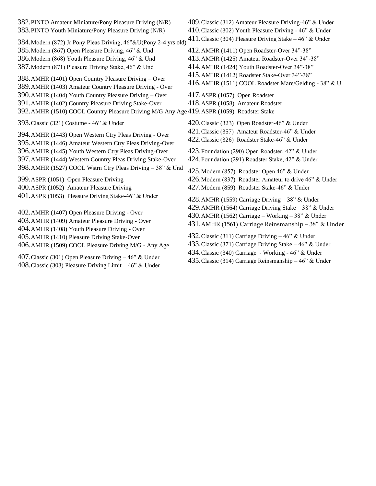382.PINTO Amateur Miniature/Pony Pleasure Driving (N/R) 383.PINTO Youth Miniature/Pony Pleasure Driving (N/R) 384.Modern (872) Jr Pony Pleas Driving, 46"&U(Pony 2-4 yrs old) 385.Modern (867) Open Pleasure Driving, 46" & Und 386.Modern (868) Youth Pleasure Driving, 46" & Und 387.Modern (871) Pleasure Driving Stake, 46" & Und 388.AMHR (1401) Open Country Pleasure Driving – Over 389.AMHR (1403) Amateur Country Pleasure Driving - Over 390.AMHR (1404) Youth Country Pleasure Driving – Over 391.AMHR (1402) Country Pleasure Driving Stake-Over 392.AMHR (1510) COOL Country Pleasure Driving M/G Any Age 419.ASPR (1059) Roadster Stake 393.Classic (321) Costume - 46" & Under 394.AMHR (1443) Open Western Ctry Pleas Driving - Over 395.AMHR (1446) Amateur Western Ctry Pleas Driving-Over 396.AMHR (1445) Youth Western Ctry Pleas Driving-Over 397.AMHR (1444) Western Country Pleas Driving Stake-Over 398.AMHR (1527) COOL Wstrn Ctry Pleas Driving – 38" & Und 399.ASPR (1051) Open Pleasure Driving 400.ASPR (1052) Amateur Pleasure Driving 401.ASPR (1053) Pleasure Driving Stake-46" & Under 402.AMHR (1407) Open Pleasure Driving - Over 403.AMHR (1409) Amateur Pleasure Driving - Over 404.AMHR (1408) Youth Pleasure Driving - Over 405.AMHR (1410) Pleasure Driving Stake-Over 406.AMHR (1509) COOL Pleasure Driving M/G - Any Age 409.Classic (312) Amateur Pleasure Driving-46" & Under 410.Classic (302) Youth Pleasure Driving - 46" & Under 411.Classic (304) Pleasure Driving Stake – 46" & Under 412.AMHR (1411) Open Roadster-Over 34"-38" 413.AMHR (1425) Amateur Roadster-Over 34"-38" 414.AMHR (1424) Youth Roadster-Over 34"-38" 415.AMHR (1412) Roadster Stake-Over 34"-38" 416.AMHR (1511) COOL Roadster Mare/Gelding - 38" & U 417.ASPR (1057) Open Roadster 418.ASPR (1058) Amateur Roadster 420.Classic (323) Open Roadster-46" & Under 421.Classic (357) Amateur Roadster-46" & Under 422.Classic (326) Roadster Stake-46" & Under 423.Foundation (290) Open Roadster, 42" & Under 424.Foundation (291) Roadster Stake, 42" & Under 425.Modern (857) Roadster Open 46" & Under 426.Modern (837) Roadster Amateur to drive 46" & Under 427.Modern (859) Roadster Stake-46" & Under 428.AMHR (1559) Carriage Driving  $-38$ " & Under 429.AMHR (1564) Carriage Driving Stake – 38" & Under 430.AMHR (1562) Carriage – Working – 38" & Under 431.AMHR (1561) Carriage Reinsmanship – 38" & Under 432.Classic (311) Carriage Driving – 46" & Under 433.Classic (371) Carriage Driving Stake – 46" & Under 434.Classic (340) Carriage - Working - 46" & Under

407.Classic (301) Open Pleasure Driving – 46" & Under 408.Classic (303) Pleasure Driving Limit – 46" & Under

435.Classic (314) Carriage Reinsmanship – 46" & Under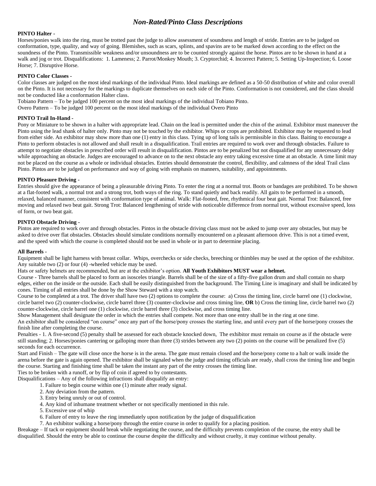### *Non-Rated/Pinto Class Descriptions*

#### **PINTO Halter -**

Horses/ponies walk into the ring, must be trotted past the judge to allow assessment of soundness and length of stride. Entries are to be judged on conformation, type, quality, and way of going. Blemishes, such as scars, splints, and spavins are to be marked down according to the effect on the soundness of the Pinto. Transmissible weakness and/or unsoundness are to be counted strongly against the horse. Pintos are to be shown in hand at a walk and jog or trot. Disqualifications: 1. Lameness; 2. Parrot/Monkey Mouth; 3. Cryptorchid; 4. Incorrect Pattern; 5. Setting Up-Inspection; 6. Loose Horse; 7. Disruptive Horse.

#### **PINTO Color Classes -**

Color classes are judged on the most ideal markings of the individual Pinto. Ideal markings are defined as a 50-50 distribution of white and color overall on the Pinto. It is not necessary for the markings to duplicate themselves on each side of the Pinto. Conformation is not considered, and the class should not be conducted like a conformation Halter class.

Tobiano Pattern – To be judged 100 percent on the most ideal markings of the individual Tobiano Pinto.

Overo Pattern – To be judged 100 percent on the most ideal markings of the individual Overo Pinto

#### **PINTO Trail In-Hand -**

Pony or Miniature to be shown in a halter with appropriate lead. Chain on the lead is permitted under the chin of the animal. Exhibitor must maneuver the Pinto using the lead shank of halter only. Pinto may not be touched by the exhibitor. Whips or crops are prohibited. Exhibitor may be requested to lead from either side. An exhibitor may show more than one (1) entry in this class. Tying up of long tails is permissible in this class. Baiting to encourage a Pinto to perform obstacles is not allowed and shall result in a disqualification. Trail entries are required to work over and through obstacles. Failure to attempt to negotiate obstacles in prescribed order will result in disqualification. Pintos are to be penalized but not disqualified for any unnecessary delay while approaching an obstacle. Judges are encouraged to advance on to the next obstacle any entry taking excessive time at an obstacle. A time limit may not be placed on the course as a whole or individual obstacles. Entries should demonstrate the control, flexibility, and calmness of the ideal Trail class Pinto. Pintos are to be judged on performance and way of going with emphasis on manners, suitability, and appointments.

#### **PINTO Pleasure Driving -**

Entries should give the appearance of being a pleasurable driving Pinto. To enter the ring at a normal trot. Boots or bandages are prohibited. To be shown at a flat-footed walk, a normal trot and a strong trot, both ways of the ring. To stand quietly and back readily. All gaits to be performed in a smooth, relaxed, balanced manner, consistent with conformation type of animal. Walk: Flat-footed, free, rhythmical four beat gait. Normal Trot: Balanced, free moving and relaxed two beat gait. Strong Trot: Balanced lengthening of stride with noticeable difference from normal trot, without excessive speed, loss of form, or two beat gait.

#### **PINTO Obstacle Driving -**

Pintos are required to work over and through obstacles. Pintos in the obstacle driving class must not be asked to jump over any obstacles, but may be asked to drive over flat obstacles. Obstacles should simulate conditions normally encountered on a pleasant afternoon drive. This is not a timed event, and the speed with which the course is completed should not be used in whole or in part to determine placing.

#### **All Barrels -**

Equipment shall be light harness with breast collar. Whips, overchecks or side checks, breeching or thimbles may be used at the option of the exhibitor. Any suitable two (2) or four (4) -wheeled vehicle may be used.

Hats or safety helmets are recommended, but are at the exhibitor's option. **All Youth Exhibitors MUST wear a helmet.**

Course - Three barrels shall be placed to form an isosceles triangle. Barrels shall be of the size of a fifty-five gallon drum and shall contain no sharp edges, either on the inside or the outside. Each shall be easily distinguished from the background. The Timing Line is imaginary and shall be indicated by cones. Timing of all entries shall be done by the Show Steward with a stop watch.

Course to be completed at a trot. The driver shall have two (2) options to complete the course: a) Cross the timing line, circle barrel one (1) clockwise, circle barrel two (2) counter-clockwise, circle barrel three (3) counter-clockwise and cross timing line, **OR** b) Cross the timing line, circle barrel two (2) counter-clockwise, circle barrel one (1) clockwise, circle barrel three (3) clockwise, and cross timing line.

Show Management shall designate the order in which the entries shall compete. Not more than one entry shall be in the ring at one time.

An exhibitor shall be considered "on course" once any part of the horse/pony crosses the starting line, and until every part of the horse/pony crosses the finish line after completing the course.

Penalties - 1. A five-second (5) penalty shall be assessed for each obstacle knocked down, The exhibitor must remain on course as if the obstacle were still standing; 2. Horses/ponies cantering or galloping more than three (3) strides between any two (2) points on the course will be penalized five (5) seconds for each occurrence.

Start and Finish – The gate will close once the horse is in the arena. The gate must remain closed and the horse/pony come to a halt or walk inside the arena before the gate is again opened. The exhibitor shall be signaled when the judge and timing officials are ready, shall cross the timing line and begin the course. Starting and finishing time shall be taken the instant any part of the entry crosses the timing line.

Ties to be broken with a runoff, or by flip of coin if agreed to by contestants.

Disqualifications – Any of the following infractions shall disqualify an entry:

1. Failure to begin course within one (1) minute after ready signal.

- 2. Any deviation from the pattern.
- 3. Entry being unruly or out of control.
- 4. Any kind of inhumane treatment whether or not specifically mentioned in this rule.
- 5. Excessive use of whip
- 6. Failure of entry to leave the ring immediately upon notification by the judge of disqualification
- 7. An exhibitor walking a horse/pony through the entire course in order to qualify for a placing position.

Breakage – If tack or equipment should break while negotiating the course, and the difficulty prevents completion of the course, the entry shall be disqualified. Should the entry be able to continue the course despite the difficulty and without cruelty, it may continue without penalty.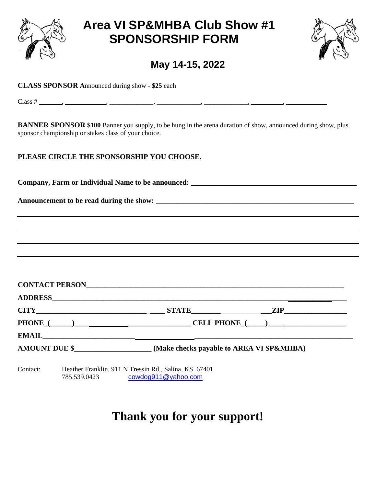

# **Area VI SP&MHBA Club Show #1 SPONSORSHIP FORM**



**May 14-15, 2022**

**CLASS SPONSOR A**nnounced during show - **\$25** each

 $Class \# \_ , \_ , \_ \_ \_ , \_ \_ \_ \_ \_ , \_ \_ \_ \_ \_ , \_ \_ \_ \_ \_ , \_ \_ \_ \_ \_ , \_ \_ \_ \_ , \_ \_ \_ \_ , \_ \_ \_ \_ , \_ \_ \_ \_ , \_ \_ \_ \_ , \_ \_ \_ \_ , \_ \_ \_ \_ , \_ \_ \_ \_ , \_ \_ \_ \_ , \_ \_ \_ \_ , \_ \_ \_ \_ , \_ \_ \_ \_ , \_ \_ \_ \_ , \_ \_ \_ \_ , \_ \_ \_ , \_ \_ \_ \_ , \_ \_ \_ , \_ \_ \_ , \_ \_$ 

**BANNER SPONSOR \$100** Banner you supply, to be hung in the arena duration of show, announced during show, plus sponsor championship or stakes class of your choice.

## **PLEASE CIRCLE THE SPONSORSHIP YOU CHOOSE.**

Company, Farm or Individual Name to be announced: **with an alleger and the contract of the contract of the contract of the contract of the contract of the contract of the contract of the contract of the contract of the con** 

**Announcement to be read during the show:** \_\_\_\_\_\_\_\_\_\_\_\_\_\_\_\_\_\_\_\_\_\_\_\_\_\_\_\_\_\_\_\_\_\_\_\_\_\_\_\_\_\_\_\_\_\_

| CONTACT PERSON       |                                          |            |
|----------------------|------------------------------------------|------------|
|                      |                                          |            |
| CITY                 |                                          | <b>ZIP</b> |
|                      |                                          |            |
| EMAIL                |                                          |            |
| <b>AMOUNT DUE \$</b> | (Make checks payable to AREA VI SP&MHBA) |            |

Contact: Heather Franklin, 911 N Tressin Rd., Salina, KS 67401 785.539.0423 [cowdog911@yahoo.com](mailto:cowdog911@yahoo.com)

# **Thank you for your support!**